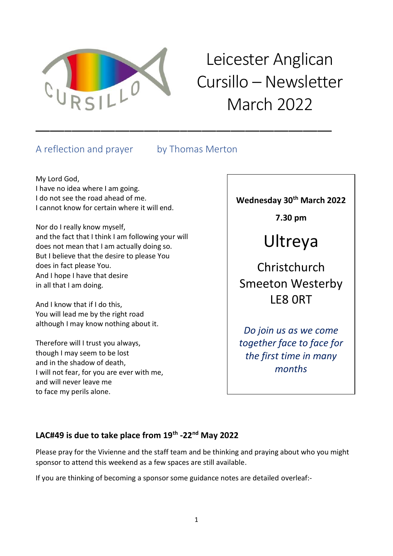

# Leicester Anglican Cursillo – Newsletter March 2022

# A reflection and prayer by Thomas Merton

\_\_\_\_\_\_\_\_\_\_\_\_\_\_\_\_\_\_\_\_\_\_\_\_\_\_\_\_\_\_\_\_\_\_\_\_\_\_\_\_\_

My Lord God, I have no idea where I am going. I do not see the road ahead of me. I cannot know for certain where it will end.

Nor do I really know myself, and the fact that I think I am following your will does not mean that I am actually doing so. But I believe that the desire to please You does in fact please You. And I hope I have that desire in all that I am doing.

And I know that if I do this, You will lead me by the right road although I may know nothing about it.

Therefore will I trust you always, though I may seem to be lost and in the shadow of death, I will not fear, for you are ever with me, and will never leave me to face my perils alone.

**Wednesday 30th March 2022**

**7.30 pm**

# Ultreya

Christchurch Smeeton Westerby LE8 0RT

*Do join us as we come together face to face for the first time in many months*

# **LAC#49 is due to take place from 19th -22nd May 2022**

Please pray for the Vivienne and the staff team and be thinking and praying about who you might sponsor to attend this weekend as a few spaces are still available.

If you are thinking of becoming a sponsor some guidance notes are detailed overleaf:-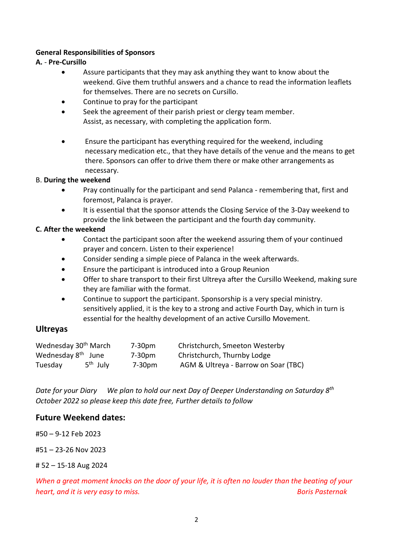### **General Responsibilities of Sponsors**

### **A.** - **Pre-Cursillo**

- Assure participants that they may ask anything they want to know about the weekend. Give them truthful answers and a chance to read the information leaflets for themselves. There are no secrets on Cursillo.
- Continue to pray for the participant
- Seek the agreement of their parish priest or clergy team member. Assist, as necessary, with completing the application form.
- Ensure the participant has everything required for the weekend, including necessary medication etc., that they have details of the venue and the means to get there. Sponsors can offer to drive them there or make other arrangements as necessary.

### B. **During the weekend**

- Pray continually for the participant and send Palanca remembering that, first and foremost, Palanca is prayer.
- It is essential that the sponsor attends the Closing Service of the 3-Day weekend to provide the link between the participant and the fourth day community.

### **C. After the weekend**

- Contact the participant soon after the weekend assuring them of your continued prayer and concern. Listen to their experience!
- Consider sending a simple piece of Palanca in the week afterwards.
- Ensure the participant is introduced into a Group Reunion
- Offer to share transport to their first Ultreya after the Cursillo Weekend, making sure they are familiar with the format.
- Continue to support the participant. Sponsorship is a very special ministry. sensitively applied, it is the key to a strong and active Fourth Day, which in turn is essential for the healthy development of an active Cursillo Movement.

### **Ultreyas**

| Wednesday 30 <sup>th</sup> March |                      | $7-30pm$ | Christchurch, Smeeton Westerby       |  |
|----------------------------------|----------------------|----------|--------------------------------------|--|
| Wednesday 8 <sup>th</sup> June   |                      | $7-30pm$ | Christchurch, Thurnby Lodge          |  |
| Tuesday                          | 5 <sup>th</sup> July | 7-30pm   | AGM & Ultreya - Barrow on Soar (TBC) |  |

*Date for your Diary We plan to hold our next Day of Deeper Understanding on Saturday 8th October 2022 so please keep this date free, Further details to follow*

### **Future Weekend dates:**

#50 – 9-12 Feb 2023

#51 – 23-26 Nov 2023

# 52 – 15-18 Aug 2024

*When a great moment knocks on the door of your life, it is often no louder than the beating of your heart, and it is very easy to miss. Boris Pasternak*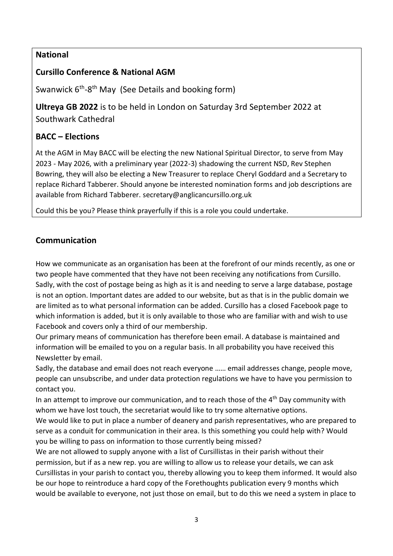### **National**

# **Cursillo Conference & National AGM**

Swanwick 6<sup>th</sup>-8<sup>th</sup> May (See Details and booking form)

**Ultreya GB 2022** is to be held in London on Saturday 3rd September 2022 at Southwark Cathedral

### **BACC – Elections**

At the AGM in May BACC will be electing the new National Spiritual Director, to serve from May 2023 - May 2026, with a preliminary year (2022-3) shadowing the current NSD, Rev Stephen Bowring, they will also be electing a New Treasurer to replace Cheryl Goddard and a Secretary to replace Richard Tabberer. Should anyone be interested nomination forms and job descriptions are available from Richard Tabberer. [secretary@anglicancursillo.org.uk](mailto:secretary@anglicancursillo.org.uk)

Could this be you? Please think prayerfully if this is a role you could undertake.

# **Communication**

How we communicate as an organisation has been at the forefront of our minds recently, as one or two people have commented that they have not been receiving any notifications from Cursillo. Sadly, with the cost of postage being as high as it is and needing to serve a large database, postage is not an option. Important dates are added to our website, but as that is in the public domain we are limited as to what personal information can be added. Cursillo has a closed Facebook page to which information is added, but it is only available to those who are familiar with and wish to use Facebook and covers only a third of our membership.

Our primary means of communication has therefore been email. A database is maintained and information will be emailed to you on a regular basis. In all probability you have received this Newsletter by email.

Sadly, the database and email does not reach everyone …… email addresses change, people move, people can unsubscribe, and under data protection regulations we have to have you permission to contact you.

In an attempt to improve our communication, and to reach those of the  $4<sup>th</sup>$  Day community with whom we have lost touch, the secretariat would like to try some alternative options.

We would like to put in place a number of deanery and parish representatives, who are prepared to serve as a conduit for communication in their area. Is this something you could help with? Would you be willing to pass on information to those currently being missed?

We are not allowed to supply anyone with a list of Cursillistas in their parish without their permission, but if as a new rep. you are willing to allow us to release your details, we can ask Cursillistas in your parish to contact you, thereby allowing you to keep them informed. It would also be our hope to reintroduce a hard copy of the Forethoughts publication every 9 months which would be available to everyone, not just those on email, but to do this we need a system in place to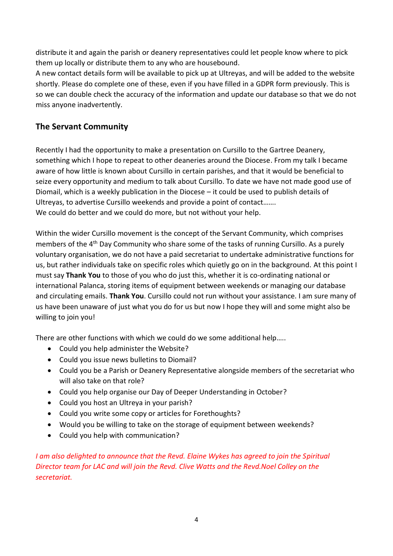distribute it and again the parish or deanery representatives could let people know where to pick them up locally or distribute them to any who are housebound.

A new contact details form will be available to pick up at Ultreyas, and will be added to the website shortly. Please do complete one of these, even if you have filled in a GDPR form previously. This is so we can double check the accuracy of the information and update our database so that we do not miss anyone inadvertently.

# **The Servant Community**

Recently I had the opportunity to make a presentation on Cursillo to the Gartree Deanery, something which I hope to repeat to other deaneries around the Diocese. From my talk I became aware of how little is known about Cursillo in certain parishes, and that it would be beneficial to seize every opportunity and medium to talk about Cursillo. To date we have not made good use of Diomail, which is a weekly publication in the Diocese – it could be used to publish details of Ultreyas, to advertise Cursillo weekends and provide a point of contact……. We could do better and we could do more, but not without your help.

Within the wider Cursillo movement is the concept of the Servant Community, which comprises members of the 4<sup>th</sup> Day Community who share some of the tasks of running Cursillo. As a purely voluntary organisation, we do not have a paid secretariat to undertake administrative functions for us, but rather individuals take on specific roles which quietly go on in the background. At this point I must say **Thank You** to those of you who do just this, whether it is co-ordinating national or international Palanca, storing items of equipment between weekends or managing our database and circulating emails. **Thank You**. Cursillo could not run without your assistance. I am sure many of us have been unaware of just what you do for us but now I hope they will and some might also be willing to join you!

There are other functions with which we could do we some additional help…..

- Could you help administer the Website?
- Could you issue news bulletins to Diomail?
- Could you be a Parish or Deanery Representative alongside members of the secretariat who will also take on that role?
- Could you help organise our Day of Deeper Understanding in October?
- Could you host an Ultreya in your parish?
- Could you write some copy or articles for Forethoughts?
- Would you be willing to take on the storage of equipment between weekends?
- Could you help with communication?

*I* am also delighted to announce that the Revd. Elaine Wykes has agreed to join the Spiritual *Director team for LAC and will join the Revd. Clive Watts and the Revd.Noel Colley on the secretariat.*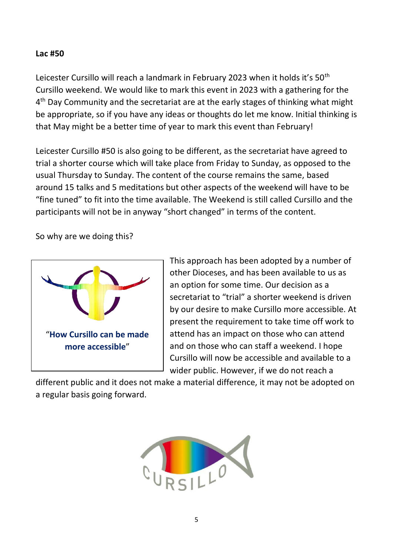### **Lac #50**

Leicester Cursillo will reach a landmark in February 2023 when it holds it's 50<sup>th</sup> Cursillo weekend. We would like to mark this event in 2023 with a gathering for the 4<sup>th</sup> Day Community and the secretariat are at the early stages of thinking what might be appropriate, so if you have any ideas or thoughts do let me know. Initial thinking is that May might be a better time of year to mark this event than February!

Leicester Cursillo #50 is also going to be different, as the secretariat have agreed to trial a shorter course which will take place from Friday to Sunday, as opposed to the usual Thursday to Sunday. The content of the course remains the same, based around 15 talks and 5 meditations but other aspects of the weekend will have to be "fine tuned" to fit into the time available. The Weekend is still called Cursillo and the participants will not be in anyway "short changed" in terms of the content.

So why are we doing this?



This approach has been adopted by a number of other Dioceses, and has been available to us as an option for some time. Our decision as a secretariat to "trial" a shorter weekend is driven by our desire to make Cursillo more accessible. At present the requirement to take time off work to attend has an impact on those who can attend and on those who can staff a weekend. I hope Cursillo will now be accessible and available to a wider public. However, if we do not reach a

different public and it does not make a material difference, it may not be adopted on a regular basis going forward.

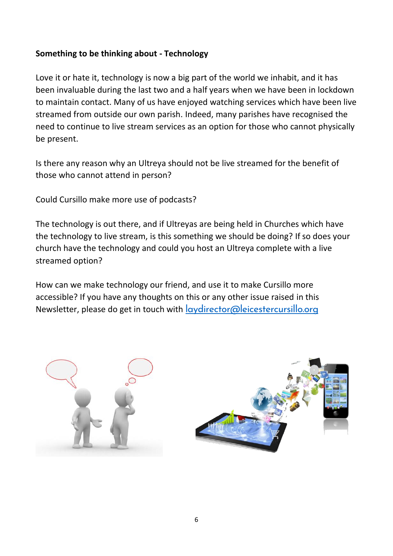# **Something to be thinking about - Technology**

Love it or hate it, technology is now a big part of the world we inhabit, and it has been invaluable during the last two and a half years when we have been in lockdown to maintain contact. Many of us have enjoyed watching services which have been live streamed from outside our own parish. Indeed, many parishes have recognised the need to continue to live stream services as an option for those who cannot physically be present.

Is there any reason why an Ultreya should not be live streamed for the benefit of those who cannot attend in person?

Could Cursillo make more use of podcasts?

The technology is out there, and if Ultreyas are being held in Churches which have the technology to live stream, is this something we should be doing? If so does your church have the technology and could you host an Ultreya complete with a live streamed option?

How can we make technology our friend, and use it to make Cursillo more accessible? If you have any thoughts on this or any other issue raised in this Newsletter, please do get in touch with **[laydirector@leicestercursillo.org](mailto:laydirector@leicestercursillo.org)** 



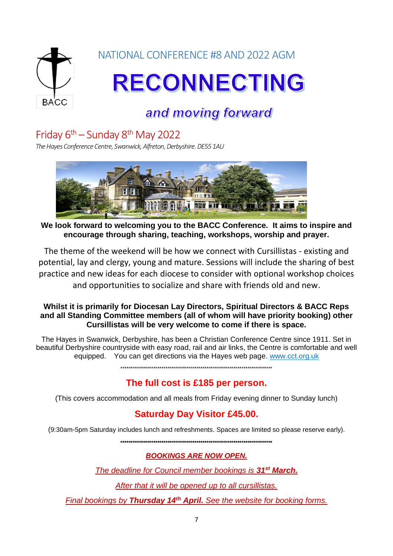

# and moving forward

# Friday  $6<sup>th</sup>$  – Sunday  $8<sup>th</sup>$  May 2022

*The Hayes Conference Centre, Swanwick, Alfreton,Derbyshire.DE55 1AU*



**We look forward to welcoming you to the BACC Conference. It aims to inspire and encourage through sharing, teaching, workshops, worship and prayer.**

The theme of the weekend will be how we connect with Cursillistas - existing and potential, lay and clergy, young and mature. Sessions will include the sharing of best practice and new ideas for each diocese to consider with optional workshop choices and opportunities to socialize and share with friends old and new.

### **Whilst it is primarily for Diocesan Lay Directors, Spiritual Directors & BACC Reps and all Standing Committee members (all of whom will have priority booking) other Cursillistas will be very welcome to come if there is space.**

The Hayes in Swanwick, Derbyshire, has been a Christian Conference Centre since 1911. Set in beautiful Derbyshire countryside with easy road, rail and air links, the Centre is comfortable and well equipped. You can get directions via the Hayes web page. [www.cct.org.uk](http://www.cct.org.uk/)

\*\*\*\*\*\*\*\*\*\*\*\*\*\*\*\*\*\*\*\*\*\*\*\*\*\*\*\*\*\*\*\*\*\*\*\*\*\*\*\*\*\*\*\*\*\*\*\*\*\*\*\*\*\*\*\*\*\*\*\*\*\*\*\*\*\*\*\*\*\*\*\*\*\*

# **The full cost is £185 per person.**

(This covers accommodation and all meals from Friday evening dinner to Sunday lunch)

# **Saturday Day Visitor £45.00.**

(9:30am-5pm Saturday includes lunch and refreshments. Spaces are limited so please reserve early).

**\*\*\*\*\*\*\*\*\*\*\*\*\*\*\*\*\*\*\*\*\*\*\*\*\*\*\*\*\*\*\*\*\*\*\*\*\*\*\*\*\*\*\*\*\*\*\*\*\*\*\*\*\*\*\*\*\*\*\*\*\*\*\*\*\*\*\*\*\*\*\*\*\*\***

### *BOOKINGS ARE NOW OPEN.*

*The deadline for Council member bookings is 31st March.* 

*After that it will be opened up to all cursillistas.*

*Final bookings by Thursday 14th April. See the website for booking forms.*